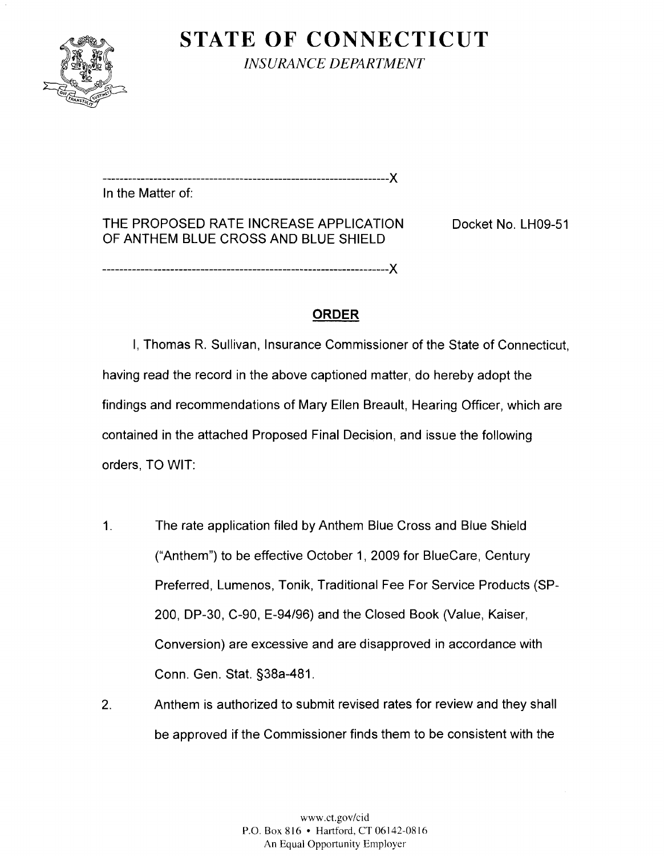

**STATE OF CONNECTICUT**  *INSURANCE DEPARTMENT* 

................................................................... X In the Matter of:

THE PROPOSED RATE INCREASE APPLICATION Docket No. LH09-51 OF ANTHEM BLUE CROSS AND BLUE SHIELD

# **ORDER**

I, Thomas R. Sullivan, Insurance Commissioner of the State of Connecticut, having read the record in the above captioned matter, do hereby adopt the findings and recommendations of Mary Ellen Breault, Hearing Officer, which are contained in the attached Proposed Final Decision, and issue the following orders, TO WIT:

- 1. The rate application filed by Anthem Blue Cross and Blue Shield ("Anthem") to be effective October I, 2009 for Bluecare, Century Preferred, Lumenos, Tonik, Traditional Fee For Service Products (SP-200, DP-30, C-90, E-94/96) and the Closed Book (Value, Kaiser, Conversion) are excessive and are disapproved in accordance with Conn. Gen. Stat. S38a-481.
- 2. Anthem is authorized to submit revised rates for review and they shall be approved if the Commissioner finds them to be consistent with the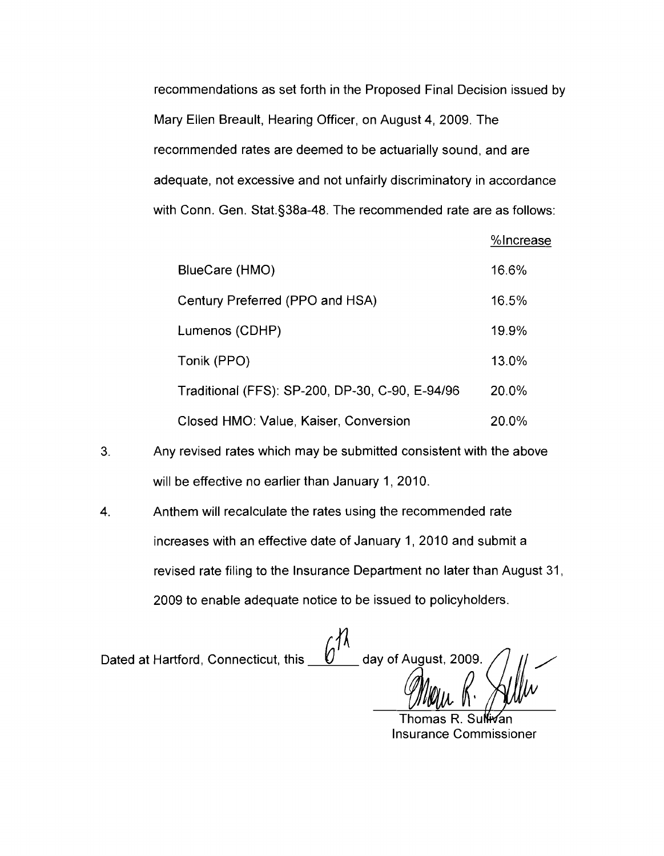recommendations as set forth in the Proposed Final Decision issued by Mary Ellen Breault, Hearing Officer, on August 4, 2009. The recornmended rates are deemed to be actuarially sound, and are adequate, not excessive and not unfairly discriminatory in accordance with Conn. Gen. Stat.§38a-48. The recommended rate are as follows:

%Increase

| BlueCare (HMO)                                  | 16.6% |
|-------------------------------------------------|-------|
| Century Preferred (PPO and HSA)                 | 16.5% |
| Lumenos (CDHP)                                  | 19.9% |
| Tonik (PPO)                                     | 13.0% |
| Traditional (FFS): SP-200, DP-30, C-90, E-94/96 | 20.0% |
| Closed HMO: Value, Kaiser, Conversion           | 20.0% |

- 3. Any revised rates which may be submitted consistent with the above will be effective no earlier than January 1, 2010.
- 4. Anthem will recalculate the rates using the recommended rate increases with an effective date of January 1, 2010 and submit a revised rate filing to the Insurance Department no later than August 31, 2009 to enable adequate notice to be issued to policyholders

Dated at Hartford, Connecticut, this  $\underline{\quad \mathcal{O}'}$ 

Insurance Commissioner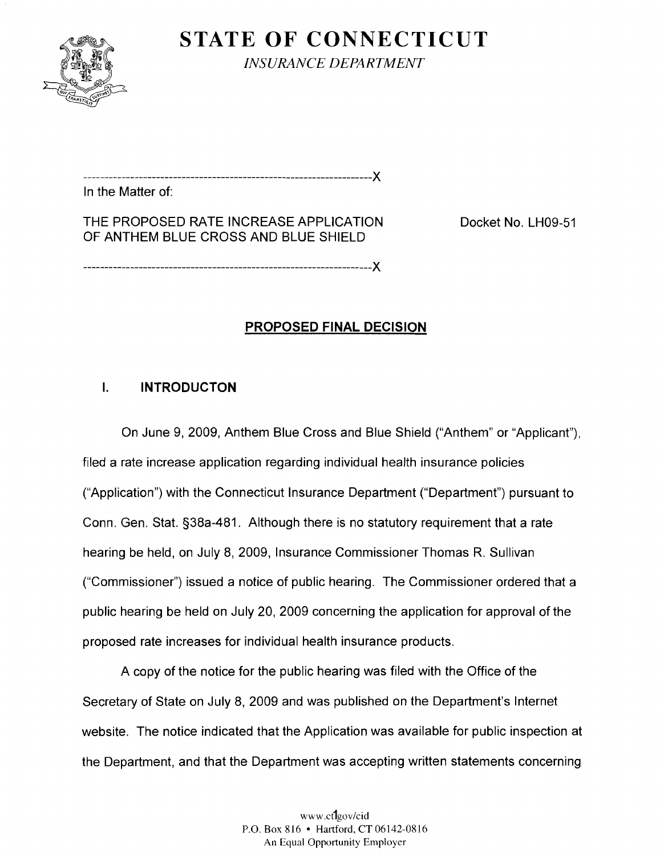

**STATE OF CONNECTICUT**  *INSURANCE DEPARTMENT* 

................................................................... **X**  In the Matter of:

THE PROPOSED RATE INCREASE APPLICATION OF ANTHEM BLUE CROSS AND BLUE SHIELD

Docket No. LH09-51

## **PROPOSED FINAL DECISION**

### **I. INTRODUCTON**

On June 9, 2009, Anthem Blue Cross and Blue Shield ("Anthem" or "Applicant"), filed a rate increase application regarding individual health insurance policies ("Application") with the Connecticut lnsurance Department ("Department") pursuant to Conn. Gen. Stat. §38a-481. Although there is no statutory requirement that a rate hearing be held, on July 8, 2009, Insurance Commissioner Thomas R. Sullivan ("Commissioner") issued a notice of public hearing. The Commissioner ordered that a public hearing be held on July 20, 2009 concerning the application for approval of the proposed rate increases for individual health insurance products.

A copy of the notice for the public hearing was filed with the Office of the Secretary of State on July 8, 2009 and was published on the Department's Internet website. The notice indicated that the Application was available for public inspection at the Department, and that the Department was accepting written statements concerning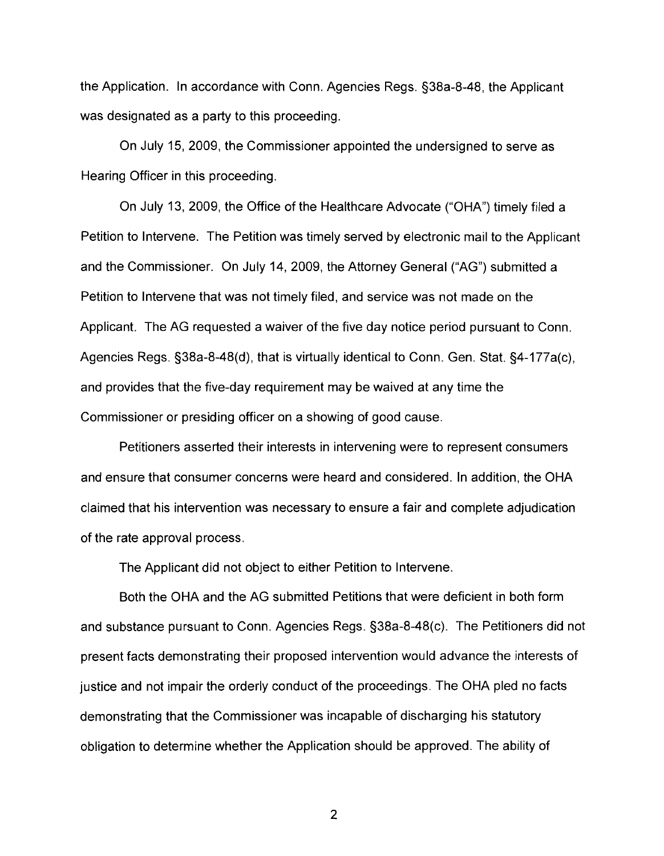the Application. In accordance with Conn. Agencies Regs. §38a-8-48, the Applicant was designated as a party to this proceeding.

On July 15, 2009, the Commissioner appointed the undersigned to serve as Hearing Officer in this proceeding.

On July 13, 2009, the Office of the Healthcare Advocate ("OHA") timely filed a Petition to Intervene. The Petition was timely served by electronic mail to the Applicant and the Commissioner. On July 14, 2009, the Attorney General ("AG") submitted a Petition to Intervene that was not timely filed, and service was not made on the Applicant. The AG requested a waiver of the five day notice period pursuant to Conn. Agencies Regs.  $\S 38a-8-48(d)$ , that is virtually identical to Conn. Gen. Stat.  $\S 4-177a(c)$ , and provides that the five-day requirement may be waived at any time the Commissioner or presiding officer on a showing of good cause.

Petitioners asserted their interests in intervening were to represent consumers and ensure that consumer concerns were heard and considered. In addition, the OHA claimed that his intervention was necessary to ensure a fair and complete adjudication of the rate approval process.

The Applicant did not object to either Petition to Intervene.

Both the OHA and the AG submitted Petitions that were deficient in both form and substance pursuant to Conn. Agencies Regs. §38a-8-48(c). The Petitioners did not present facts demonstrating their proposed intervention would advance the interests of justice and not impair the orderly conduct of the proceedings. The OHA pled no facts demonstrating that the Commissioner was incapable of discharging his statutory obligation to determine whether the Application should be approved. The ability of

 $\overline{2}$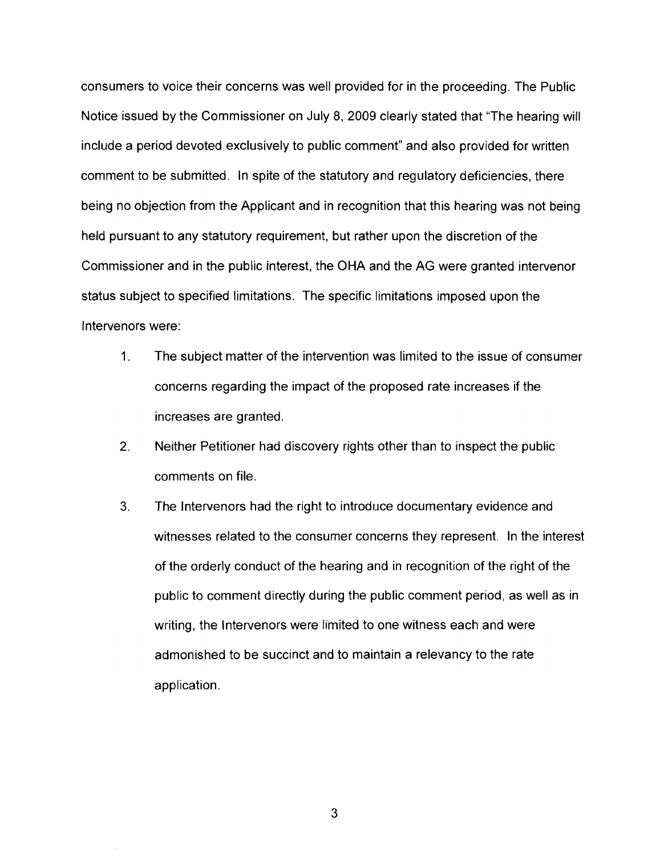consumers to voice their concerns was well provided for in the proceeding. The Public Notice issued by the Commissioner on July 8, 2009 clearly stated that "The hearing will include a period devoted exclusively to public comment" and also provided for written comment to be submitted. In spite of the statutory and regulatory deficiencies, there being no objection from the Applicant and in recognition that this hearing was not being held pursuant to any statutory requirement, but rather upon the discretion of the Commissioner and in the public interest, the OHA and the AG were granted intervenor status subject to specified limitations. The specific limitations imposed upon the lntervenors were:

- 1. The subject matter of the intervention was limited to the issue of consumer concerns regarding the impact of the proposed rate increases if the increases are granted.
- 2. Neither Petitioner had discovery rights other than to inspect the public comments on file.
- **3.**  The Intervenors had the right to introduce documentary evidence and witnesses related to the consumer concerns they represent. In the interest of the orderly conduct of the hearing and in recognition of the right of the public to comment directly during the public comment period, as well as in writing, the lntervenors were limited to one witness each and were admonished to be succinct and to maintain a relevancy to the rate application.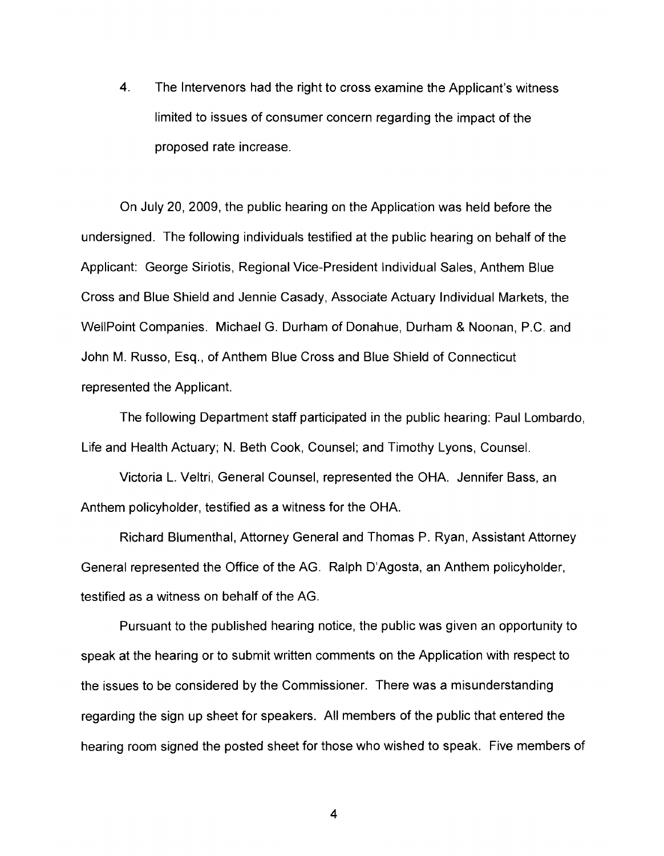**4.**  The Intervenors had the right to cross examine the Applicant's witness limited to issues of consumer concern regarding the impact of the proposed rate increase.

On July 20, 2009, the public hearing on the Application was held before the undersigned. The following individuals testified at the public hearing on behalf of the Applicant: George Siriotis, Regional Vice-President Individual Sales, Anthem Blue Cross and Blue Shield and Jennie Casady, Associate Actuary Individual Markets, the WellPoint Companies. Michael G. Durham of Donahue, Durham & Noonan, P.C. and John M. Russo, Esq., of Anthem Blue Cross and Blue Shield of Connecticut represented the Applicant.

The following Department staff participated in the public hearing: Paul Lombardo, Life and Health Actuary; N. Beth Cook, Counsel; and Timothy Lyons, Counsel.

Victoria L. Veltri, General Counsel, represented the OHA. Jennifer Bass, an Anthem policyholder, testified as a witness for the OHA.

Richard Blumenthal, Attorney General and Thomas P. Ryan, Assistant Attorney General represented the Office of the AG. Ralph D'Agosta, an Anthem policyholder, testified as a witness on behalf of the AG.

Pursuant to the published hearing notice, the public was given an opportunity to speak at the hearing or to subrnit written comments on the Application with respect to the issues to be considered by the Commissioner. There was a misunderstanding regarding the sign up sheet for speakers. All members of the public that entered the hearing room signed the posted sheet for those who wished to speak. Five members of

 $\overline{\mathbf{4}}$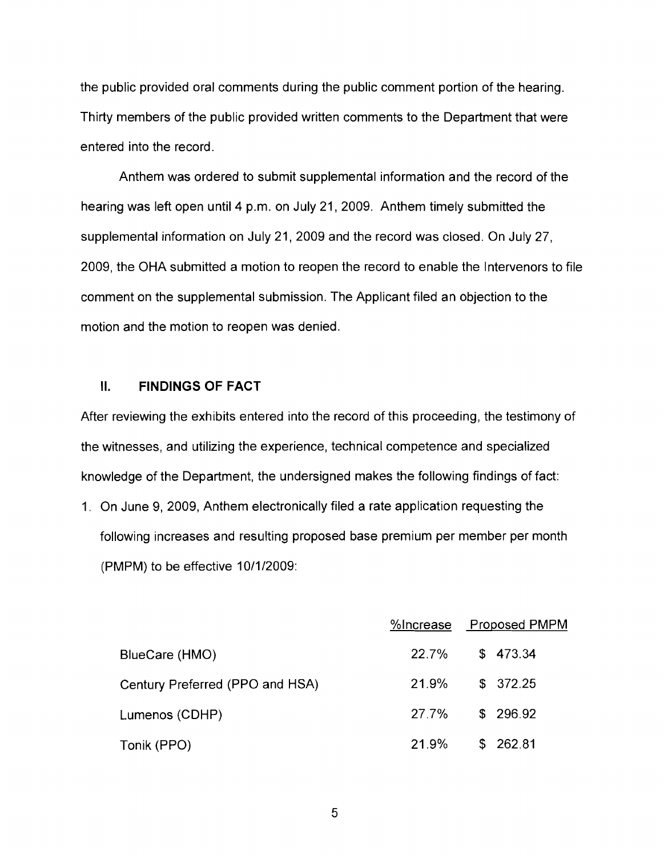the public provided oral comments during the public comment portion of the hearing. Thirty members of the public provided written comments to the Department that were entered into the record.

Anthem was ordered to submit supplemental information and the record of the hearing was left open until 4 p.m. on July 21, 2009. Anthem timely submitted the supplemental information on July 21, 2009 and the record was closed. On July 27, 2009, the OHA submitted a motion to reopen the record to enable the Intervenors to file comment on the supplemental submission. The Applicant filed an objection to the motion and the motion to reopen was denied.

#### **II. FINDINGS OF FACT**

After reviewing the exhibits entered into the record of this proceeding, the testimony of the witnesses, and utilizing the experience, technical competence and specialized knowledge of the Department, the undersigned makes the following findings of fact:

1. On June 9, 2009, Anthem electronically filed a rate application requesting the following increases and resulting proposed base premium per member per month (PMPM) to be effective 10/1/2009:

|                                 |       | %Increase Proposed PMPM |
|---------------------------------|-------|-------------------------|
| BlueCare (HMO)                  |       | 22.7% \$473.34          |
| Century Preferred (PPO and HSA) | 21.9% | \$372.25                |
| Lumenos (CDHP)                  | 27.7% | \$ 296.92               |
| Tonik (PPO)                     | 21.9% | \$262.81                |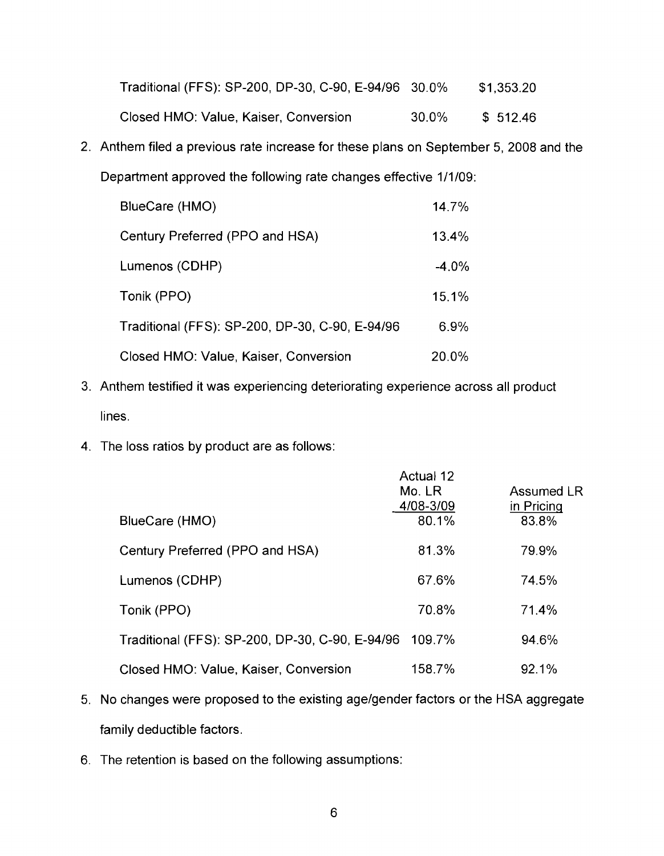| Traditional (FFS): SP-200, DP-30, C-90, E-94/96 30.0% |       | \$1,353.20 |
|-------------------------------------------------------|-------|------------|
| Closed HMO: Value, Kaiser, Conversion                 | 30.0% | \$ 512.46  |

2. Anthem filed a previous rate increase for these plans on September 5, 2008 and the Department approved the following rate changes effective 1/1/09:

| BlueCare (HMO)                                  | 14.7%   |
|-------------------------------------------------|---------|
| Century Preferred (PPO and HSA)                 | 13.4%   |
| Lumenos (CDHP)                                  | $-4.0%$ |
| Tonik (PPO)                                     | 15.1%   |
| Traditional (FFS): SP-200, DP-30, C-90, E-94/96 | 6.9%    |
| Closed HMO: Value, Kaiser, Conversion           | 20.0%   |

- 3. Anthem testified it was experiencing deteriorating experience across all product lines.
- 4. The loss ratios by product are as follows:

|                                                        | Actual 12<br>Mo. LR<br>4/08-3/09 | Assumed LR<br>in Pricing |
|--------------------------------------------------------|----------------------------------|--------------------------|
| BlueCare (HMO)                                         | 80.1%                            | 83.8%                    |
| Century Preferred (PPO and HSA)                        | 81.3%                            | 79.9%                    |
| Lumenos (CDHP)                                         | 67.6%                            | 74.5%                    |
| Tonik (PPO)                                            | 70.8%                            | 71.4%                    |
| Traditional (FFS): SP-200, DP-30, C-90, E-94/96 109.7% |                                  | 94.6%                    |
| Closed HMO: Value, Kaiser, Conversion                  | 158.7%                           | 92.1%                    |

- 5. No changes were proposed to the existing agelgender factors or the HSA aggregate family deductible factors.
- 6. The retention is based on the following assumptions: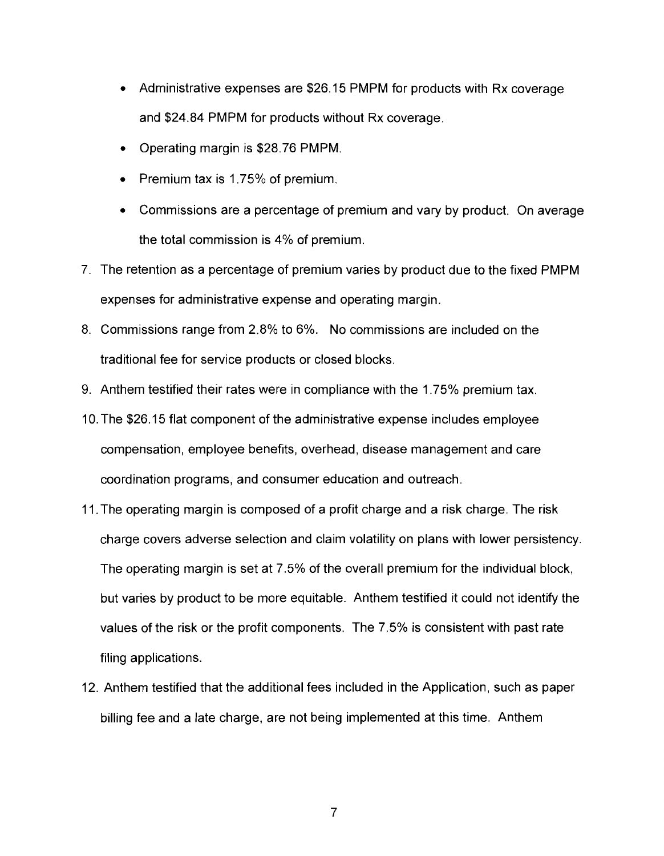- Administrative expenses are \$26.15 PMPM for products with Rx coverage and \$24.84 PMPM for products without Rx coverage.
- Operating margin is \$28.76 PMPM.
- Premium tax is 1.75% of premium.  $\bullet$
- Commissions are a percentage of premium and vary by product. On average the total commission is 4% of premium.
- 7. The retention as a percentage of premium varies by product due to the fixed PMPM expenses for administrative expense and operating margin.
- 8. Commissions range from 2.8% to 6%. No commissions are included on the traditional fee for service products or closed blocks.
- 9. Anthem testified their rates were in compliance with the 1.75% premium tax.
- 10.The \$26.15 flat component of the administrative expense includes employee compensation, employee benefits, overhead, disease management and care coordination programs, and consumer education and outreach.
- 11.The operating margin is composed of a profit charge and a risk charge. The risk charge covers adverse selection and claim volatility on plans with lower persistency. The operating margin is set at 7.5% of the overall premium for the individual block, but varies by product to be more equitable. Anthem testified it could not identify the values of the risk or the profit components. The 7.5% is consistent with past rate filing applications.
- 12. Anthem testified that the additional fees included in the Application, such as paper billing fee and a late charge, are not being implemented at this time. Anthem

 $\overline{7}$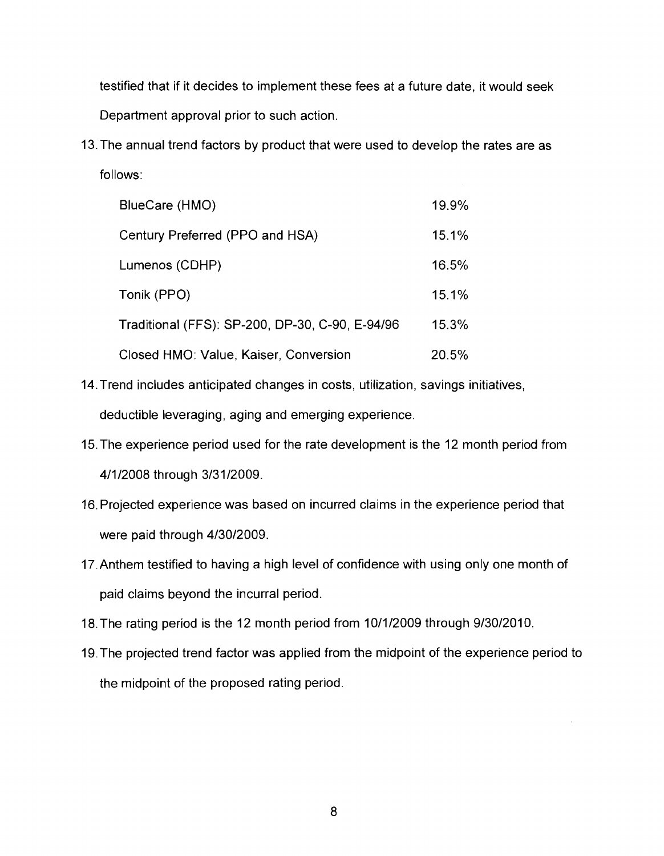testified that if it decides to implement these fees at a future date, it would seek Department approval prior to such action.

13.The annual trend factors by product that were used to develop the rates are as follows:

| BlueCare (HMO)                                  | 19.9% |
|-------------------------------------------------|-------|
| Century Preferred (PPO and HSA)                 | 15.1% |
| Lumenos (CDHP)                                  | 16.5% |
| Tonik (PPO)                                     | 15.1% |
| Traditional (FFS): SP-200, DP-30, C-90, E-94/96 | 15.3% |
| Closed HMO: Value, Kaiser, Conversion           | 20.5% |

- 14.Trend includes anticipated changes in costs, utilization, savings initiatives, deductible leveraging, aging and emerging experience.
- 15.The experience period used for the rate development is the 12 month period from 4/1/2008 through 3/31/2009.
- 16.Projected experience was based on incurred claims in the experience period that were paid through 4/30/2009.
- 17.Anthem testified to having a high level of confidence with using only one month of paid claims beyond the incurral period.
- 18. The rating period is the 12 month period from 10/1/2009 through 9/30/2010.
- 19.The projected trend factor was applied from the midpoint of the experience period to the midpoint of the proposed rating period.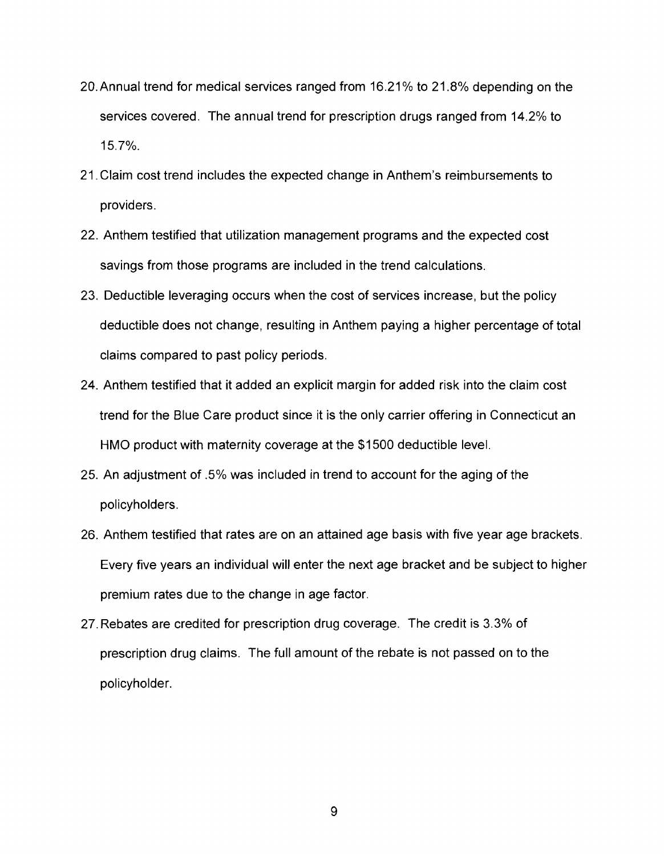- 20.Annual trend for medical services ranged from 16.21% to 21.8% depending on the services covered. The annual trend for prescription drugs ranged from 14.2% to 15.7%.
- 21.Claim cost trend includes the expected change in Anthem's reimbursements to providers.
- 22. Anthem testified that utilization management programs and the expected cost savings from those programs are included in the trend calculations.
- 23. Deductible leveraging occurs when the cost of services increase, but the policy deductible does not change, resulting in Anthem paying a higher percentage of total claims compared to past policy periods.
- 24. Anthem testified that it added an explicit margin for added risk into the claim cost trend for the Blue Care product since it is the only carrier offering in Connecticut an HMO product with maternity coverage at the \$1 500 deductible level.
- 25. An adjustment of .5% was included in trend to account for the aging of the policyholders.
- 26. Anthem testified that rates are on an attained age basis with five year age brackets. Every five years an individual will enter the next age bracket and be subject to higher premium rates due to the change in age factor.
- 27.Rebates are credited for prescription drug coverage. The credit is 3.3% of prescription drug claims. The full amount of the rebate is not passed on to the policyholder.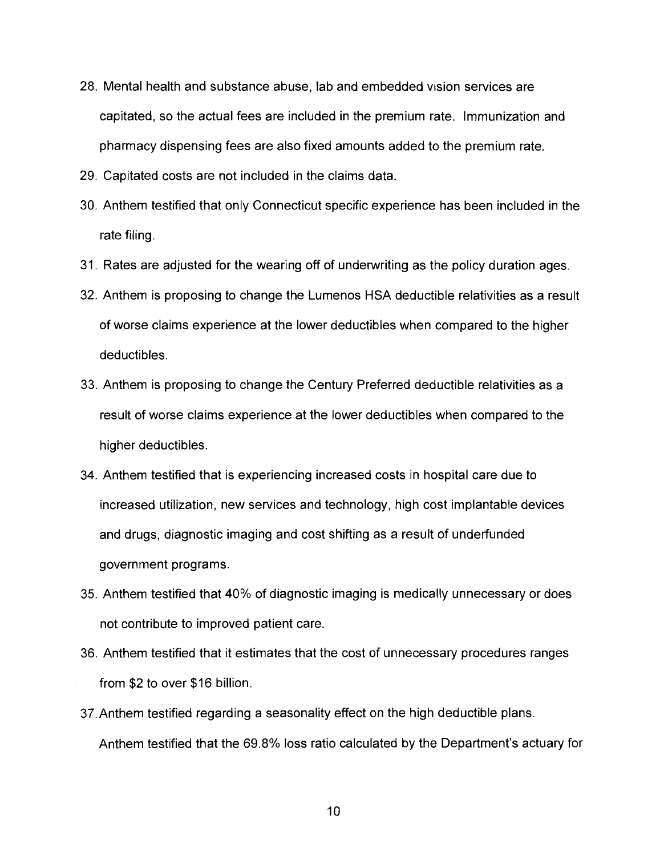- 28. Mental health and substance abuse, lab and embedded vision services are capitated, so the actual fees are included in the premium rate. Immunization and pharmacy dispensing fees are also fixed amounts added to the premium rate.
- 29. Capitated costs are not included in the claims data.
- 30. Anthem testified that only Connecticut specific experience has been included in the rate filing.
- 31. Rates are adjusted for the wearing off of underwriting as the policy duration ages.
- 32. Anthem is proposing to change the Lumenos HSA deductible relativities as a result of worse claims experience at the lower deductibles when compared to the higher deductibles.
- 33. Anthem is proposing to change the Century Preferred deductible relativities as a result of worse claims experience at the lower deductibles when compared to the higher deductibles.
- 34. Anthem testified that is experiencing increased costs in hospital care due to increased utilization, new services and technology, high cost implantable devices and drugs, diagnostic imaging and cost shifting as a result of underfunded government programs.
- 35. Anthem testified that 40% of diagnostic imaging is medically unnecessary or does not contribute to improved patient care.
- 36. Anthem testified that it estimates that the cost of unnecessary procedures ranges from \$2 to over \$16 billion.
- 37.Anthem testified regarding a seasonality effect on the high deductible plans. Anthem testified that the 69.8% loss ratio calculated by the Department's actuary for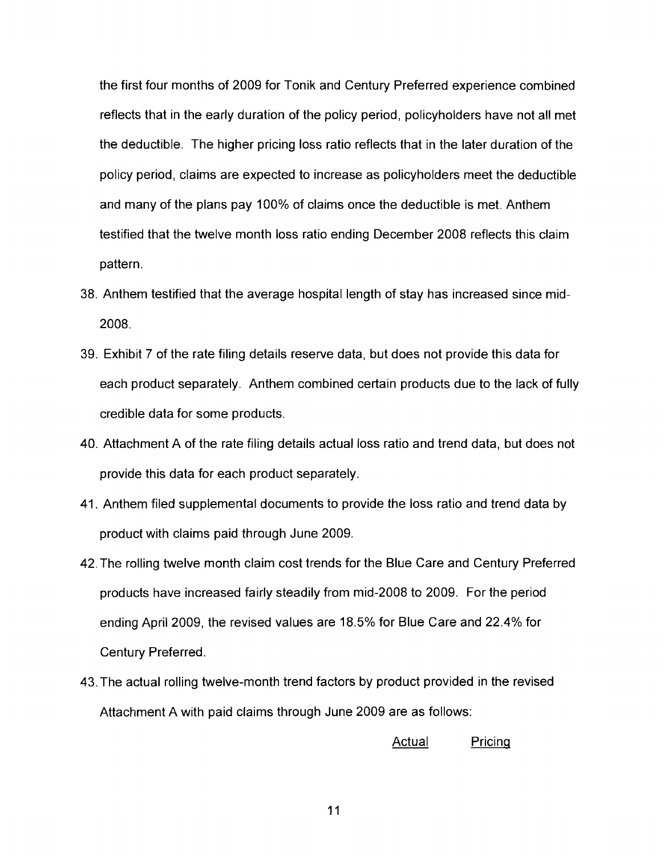the first four months of 2009 for Tonik and Century Preferred experience combined reflects that in the early duration of the policy period, policyholders have not all met the deductible. The higher pricing loss ratio reflects that in the later duration of the policy period, claims are expected to increase as policyholders meet the deductible and many of the plans pay 100% of claims once the deductible is met. Anthem testified that the twelve month loss ratio ending December 2008 reflects this claim pattern.

- 38. Anthem testified that the average hospital length of stay has increased since mid-2008.
- 39. Exhibit 7 of the rate filing details reserve data, but does not provide this data for each product separately. Anthem combined certain products due to the lack of fully credible data for some products.
- 40. Attachment A of the rate filing details actual loss ratio and trend data, but does not provide this data for each product separately.
- 41. Anthem filed supplemental documents to provide the loss ratio and trend data by product with claims paid through June 2009.
- 42.The rolling twelve month claim cost trends for the Blue Care and Century Preferred products have increased fairly steadily from mid-2008 to 2009. For the period ending April 2009, the revised values are 18.5% for Blue Care and 22.4% for Century Preferred.
- 43. The actual rolling twelve-month trend factors by product provided in the revised Attachment A with paid claims through June 2009 are as follows:

Actual Pricinq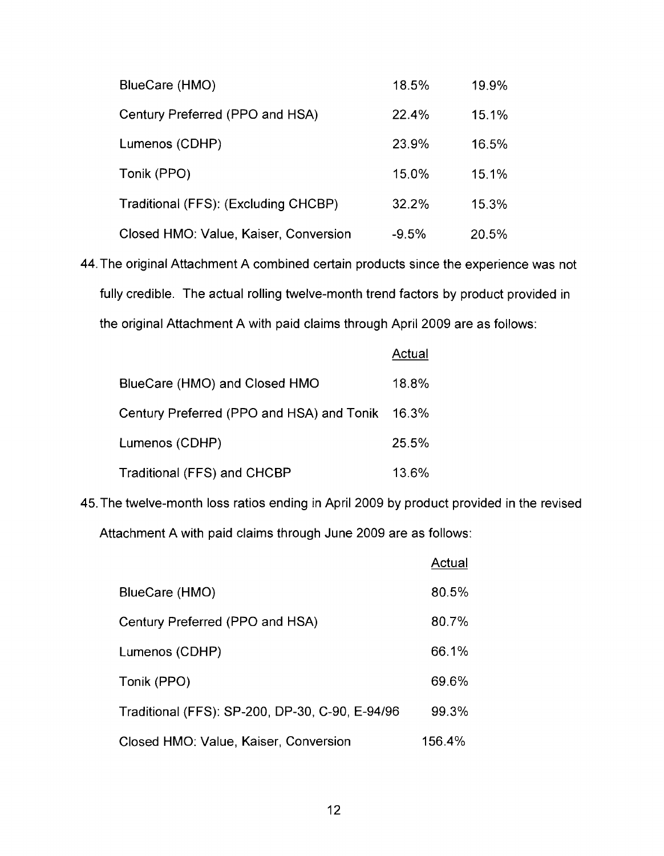| BlueCare (HMO)                        | 18.5%   | 19.9% |
|---------------------------------------|---------|-------|
| Century Preferred (PPO and HSA)       | 22.4%   | 15.1% |
| Lumenos (CDHP)                        | 23.9%   | 16.5% |
| Tonik (PPO)                           | 15.0%   | 15.1% |
| Traditional (FFS): (Excluding CHCBP)  | 32.2%   | 15.3% |
| Closed HMO: Value, Kaiser, Conversion | $-9.5%$ | 20.5% |

44.The original Attachment A combined certain products since the experience was not fully credible. The actual rolling twelve-month trend factors by product provided in the original Attachment A with paid claims through April 2009 are as follows:

|                                                 | Actual |
|-------------------------------------------------|--------|
| BlueCare (HMO) and Closed HMO                   | 18.8%  |
| Century Preferred (PPO and HSA) and Tonik 16.3% |        |
| Lumenos (CDHP)                                  | 25.5%  |
| Traditional (FFS) and CHCBP                     | 13.6%  |

45.The twelve-month loss ratios ending in April 2009 by product provided in the revised Attachment A with paid claims through June 2009 are as follows:

|                                                 | Actual |
|-------------------------------------------------|--------|
| BlueCare (HMO)                                  | 80.5%  |
| Century Preferred (PPO and HSA)                 | 80.7%  |
| Lumenos (CDHP)                                  | 66.1%  |
| Tonik (PPO)                                     | 69.6%  |
| Traditional (FFS): SP-200, DP-30, C-90, E-94/96 | 99.3%  |
| Closed HMO: Value, Kaiser, Conversion           | 156.4% |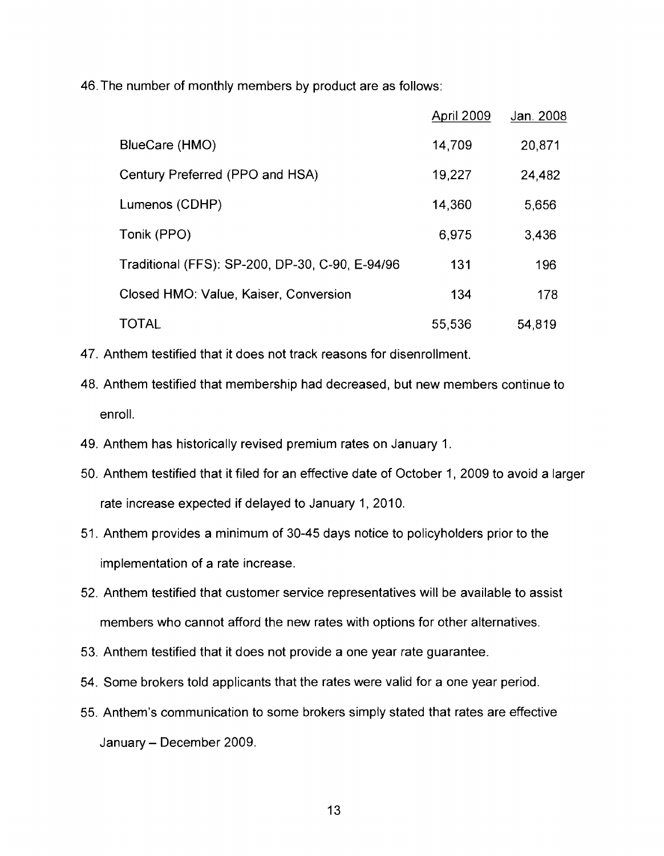46.The number of monthly members by product are as follows:

|                                                 | April 2009 | Jan. 2008 |
|-------------------------------------------------|------------|-----------|
| BlueCare (HMO)                                  | 14,709     | 20,871    |
| Century Preferred (PPO and HSA)                 | 19,227     | 24,482    |
| Lumenos (CDHP)                                  | 14,360     | 5,656     |
| Tonik (PPO)                                     | 6,975      | 3,436     |
| Traditional (FFS): SP-200, DP-30, C-90, E-94/96 | 131        | 196       |
| Closed HMO: Value, Kaiser, Conversion           | 134        | 178       |
| <b>TOTAL</b>                                    | 55,536     | 54,819    |

- 47. Anthem testified that it does not track reasons for disenrollment.
- 48. Anthem testified that membership had decreased, but new members continue to enroll.
- 49. Anthem has historically revised premium rates on January 1.
- 50. Anthem testified that it filed for an effective date of October 1, 2009 to avoid a larger rate increase expected if delayed to January 1, 2010.
- 51. Anthem provides a minimum of 30-45 days notice to policyholders prior to the implementation of a rate increase.
- 52. Anthem testified that customer service representatives will be available to assist members who cannot afford the new rates with options for other alternatives.
- 53. Anthem testified that it does not provide a one year rate guarantee.
- 54. Some brokers told applicants that the rates were valid for a one year period.
- 55. Anthem's communication to some brokers simply stated that rates are effective January - December 2009.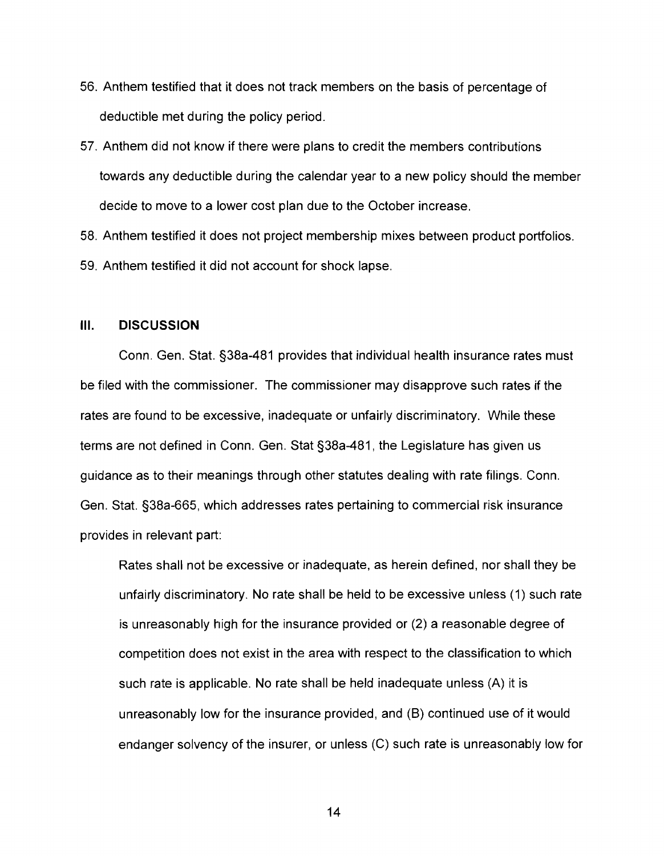- 56. Anthem testified that it does not track members on the basis of percentage of deductible met during the policy period.
- 57. Anthem did not know if there were plans to credit the members contributions towards any deductible during the calendar year to a new policy should the member decide to move to a lower cost plan due to the October increase.

58. Anthem testified it does not project membership mixes between product portfolios. 59. Anthem testified it did not account for shock lapse.

#### **Ill. DISCUSSION**

Conn. Gen. Stat. §38a-481 provides that individual health insurance rates must be filed with the commissioner. The commissioner may disapprove such rates if the rates are found to be excessive, inadequate or unfairly discriminatory. While these terms are not defined in Conn. Gen. Stat §38a-481, the Legislature has given us guidance as to their meanings through other statutes dealing with rate filings. Conn. Gen. Stat. §38a-665, which addresses rates pertaining to commercial risk insurance provides in relevant part:

Rates shall not be excessive or inadequate, as herein defined, nor shall they be unfairly discriminatory. No rate shall be held to be excessive unless (1) such rate is unreasonably high for the insurance provided or (2) a reasonable degree of competition does not exist in the area with respect to the classification to which such rate is applicable. No rate shall be held inadequate unless  $(A)$  it is unreasonably low for the insurance provided, and (B) continued use of it would endanger solvency of the insurer, or unless (C) such rate is unreasonably low for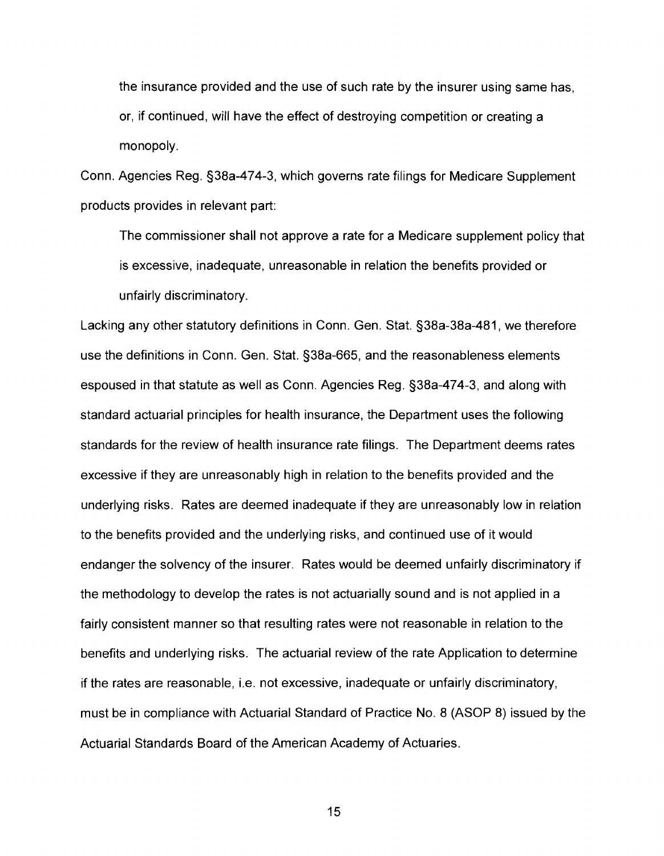the insurance provided and the use of such rate by the insurer using same has, or, if continued, will have the effect of destroying competition or creating a monopoly.

Conn. Agencies Reg. §38a-474-3, which governs rate filings for Medicare Supplement products provides in relevant part:

The commissioner shall not approve a rate for a Medicare supplement policy that is excessive, inadequate, unreasonable in relation the benefits provided or unfairly discriminatory.

Lacking any other statutory definitions in Conn. Gen. Stat. S38a-38a-481, we therefore use the definitions in Conn. Gen. Stat. S38a-665, and the reasonableness elements espoused in that statute as well as Conn. Agencies Reg. S38a-474-3, and alorrg with standard actuarial principles for health insurance, the Department uses the following standards for the review of health insurance rate filings. The Department deems rates excessive if they are unreasonably high in relation to the benefits provided and the underlying risks. Rates are deemed inadequate if they are unreasonably low in relation to the benefits provided and the underlying risks, and continued use of it would endanger the solvency of the insurer. Rates would be deemed unfairly discriminatory if the methodology to develop the rates is not actuarially sound and is not applied in a fairly consistent manner so that resulting rates were not reasonable in relation to the benefits and underlying risks. The actuarial review of the rate Application to determine if the rates are reasonable, i.e. not excessive, inadequate or unfairly discriminatory, must be in compliance with Actuarial Standard of Practice No. 8 (ASOP 8) issued by the Actuarial Standards Board of the American Academy of Actuaries.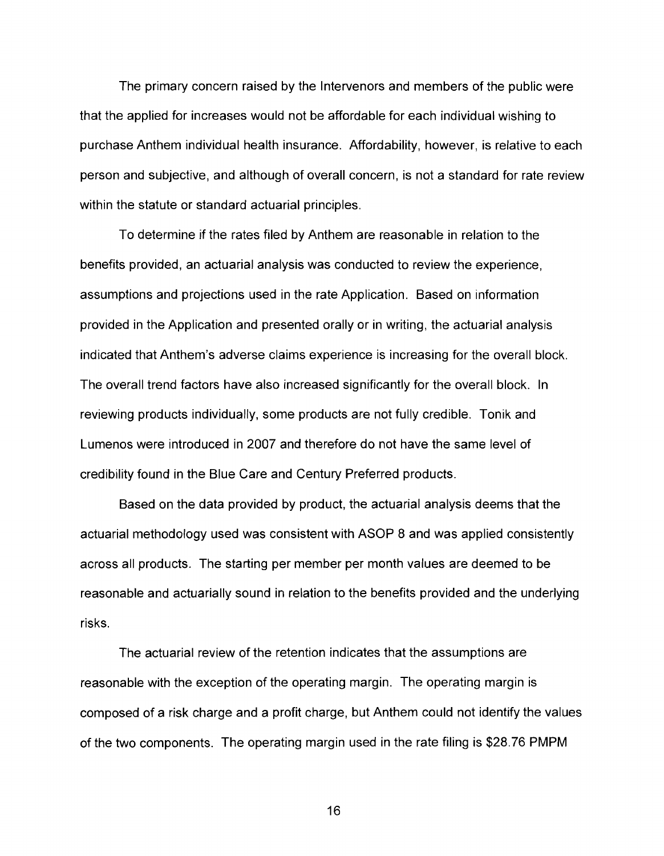The primary concern raised by the Intervenors and members of the public were that the applied for increases would not be affordable for each individual wishing to purchase Anthem individual health insurance. Affordability, however, is relative to each person and subjective, and although of overall concern, is not a standard for rate review within the statute or standard actuarial principles.

To determine if the rates filed by Anthem are reasonable in relation to the benefits provided, an actuarial analysis was conducted to review the experience, assumptions and projections used in the rate Application. Based on information provided in the Application and presented orally or in writing, the actuarial analysis indicated that Anthem's adverse claims experience is increasing for the overall block. The overall trend factors have also increased significantly for the overall block. In reviewing products individually, some products are not fully credible. Tonik and Lumenos were introduced in 2007 and therefore do not have the same level of credibility found in the Blue Care and Century Preferred products.

Based on the data provided by product, the actuarial analysis deems that the actuarial methodology used was consistent with ASOP 8 and was applied consistently across all products. The starting per member per month values are deemed to be reasonable and actuarially sound in relation to the benefits provided and the underlying risks.

The actuarial review of the retention indicates that the assumptions are reasonable with the exception of the operating margin. The operating margin is composed of a risk charge and a profit charge, but Anthem could not identify the values of the two components. The operating margin used in the rate filing is \$28.76 PMPM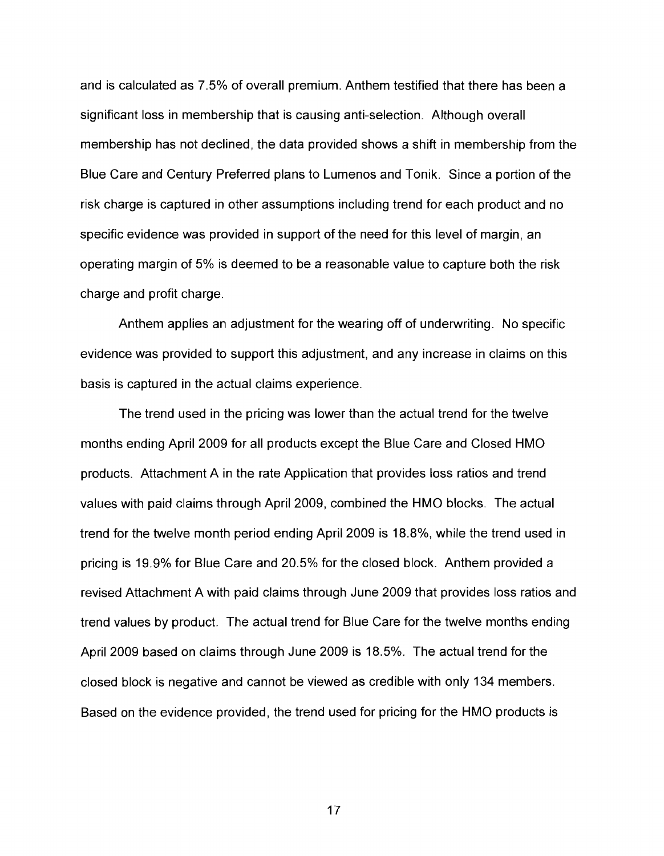and is calculated as 7.5% of overall premium. Anthem testified that there has been a significant loss in membership that is causing anti-selection. Although overall membership has not declined, the data provided shows a shift in membership from the Blue Care and Century Preferred plans to Lumenos and Tonik. Since a portion of the risk charge is captured in other assumptions including trend for each product and no specific evidence was provided in support of the need for this level of margin, an operating margin of 5% is deemed to be a reasonable value to capture both the risk charge and profit charge.

Anthem applies an adjustment for the wearing off of underwriting. No specific evidence was provided to support this adjustment, and any increase in claims on this basis is captured in the actual claims experience.

The trend used in the pricing was lower than the actual trend for the twelve months ending April 2009 for all products except the Blue Care and Closed HMO products. Attachment A in the rate Application that provides loss ratios and trend values with paid claims through April 2009, combined the HMO blocks. The actual trend for the twelve month period ending April 2009 is 18.8%, while the trend used in pricing is 19.9% for Blue Care and 20.5% for the closed block. Anthem provided a revised Attachment A with paid claims through June 2009 that provides loss ratios and trend values by product. The actual trend for Blue Care for the twelve months ending April 2009 based on claims through June 2009 is 18.5%. The actual trend for the closed block is negative and cannot be viewed as credible with only 134 members. Based on the evidence provided, the trend used for pricing for the HMO products is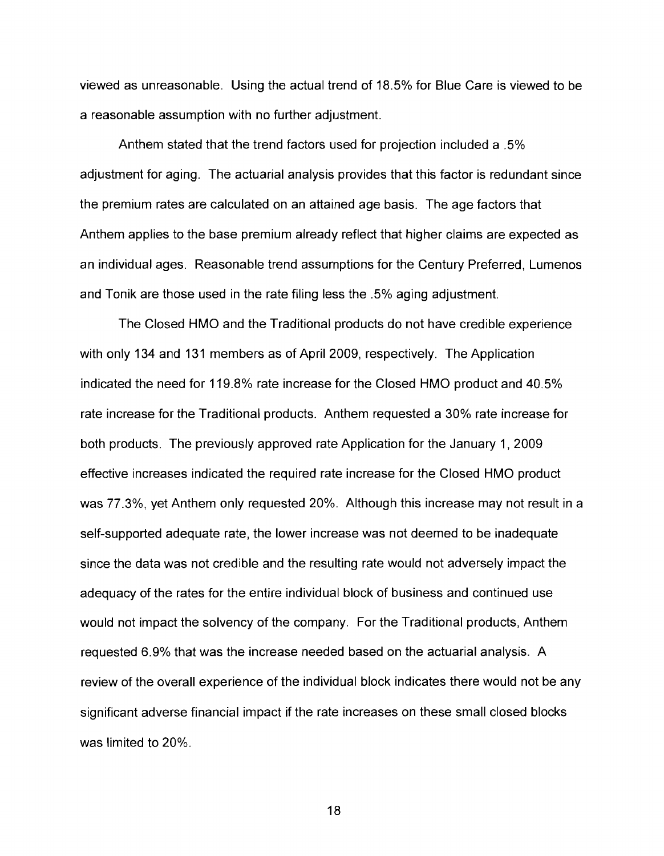viewed as unreasonable. Using the actual trend of 18.5% for Blue Care is viewed to be a reasonable assumption with no further adjustment.

Anthem stated that the trend factors used for projection included a .5% adjustment for aging. The actuarial analysis provides that this factor is redundant since the premium rates are calculated on an attained age basis. The age factors that Anthem applies to the base premium already reflect that higher claims are expected as an individual ages. Reasonable trend assurnptions for the Century Preferred, Lumenos and Tonik are those used in the rate filing less the .5% aging adjustment.

The Closed HMO and the Traditional products do not have credible experience with only 134 and 131 members as of April 2009, respectively. The Application indicated the need for 119.8% rate increase for the Closed HMO product and 40.5% rate increase for the Traditional products. Anthem requested a 30% rate increase for both products. The previously approved rate Application for the January 1, 2009 effective increases indicated the required rate increase for the Closed HMO product was 77.3%, yet Anthem only requested 20%. Although this increase may not result in a self-supported adequate rate, the lower increase was not deemed to be inadequate since the data was not credible and the resulting rate would not adversely impact the adequacy of the rates for the entire individual block of business and continued use would not impact the solvency of the company. For the Traditional products, Anthem requested 6.9% that was the increase needed based on the actuarial analysis. A review of the overall experience of the individual block indicates there would not be any significant adverse financial impact if the rate increases on these small closed blocks was limited to 20%.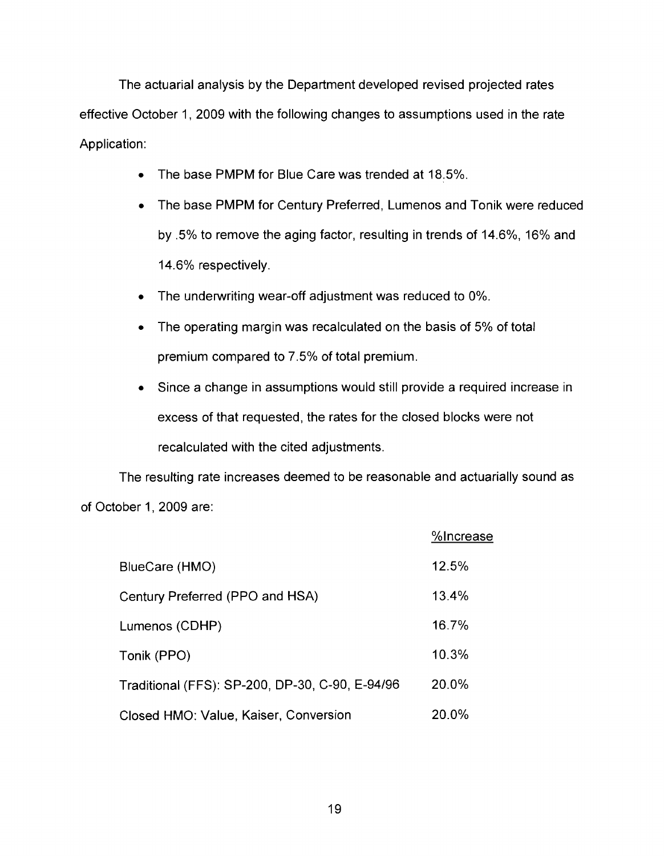The actuarial analysis by the Department developed revised projected rates effective October 1, 2009 with the following changes to assumptions used in the rate Application:

- The base PMPM for Blue Care was trended at 18.5%.  $\bullet$
- The base PMPM for Century Preferred, Lumenos and Tonik were reduced  $\bullet$ by .5% to remove the aging factor, resulting in trends of 14.6%, 16% and 14.6% respectively.
- The underwriting wear-off adjustment was reduced to 0%.
- The operating margin was recalculated on the basis of 5% of total premium compared to 7.5% of total premium.
- Since a change in assumptions would still provide a required increase in  $\bullet$ excess of that requested, the rates for the closed blocks were not recalculated with the cited adjustments.

The resulting rate increases deemed to be reasonable and actuarially sound as of October 1, 2009 are:

|                                                 | %Increase |
|-------------------------------------------------|-----------|
| BlueCare (HMO)                                  | 12.5%     |
| Century Preferred (PPO and HSA)                 | 13.4%     |
| Lumenos (CDHP)                                  | 16.7%     |
| Tonik (PPO)                                     | 10.3%     |
| Traditional (FFS): SP-200, DP-30, C-90, E-94/96 | 20.0%     |
| Closed HMO: Value, Kaiser, Conversion           | 20.0%     |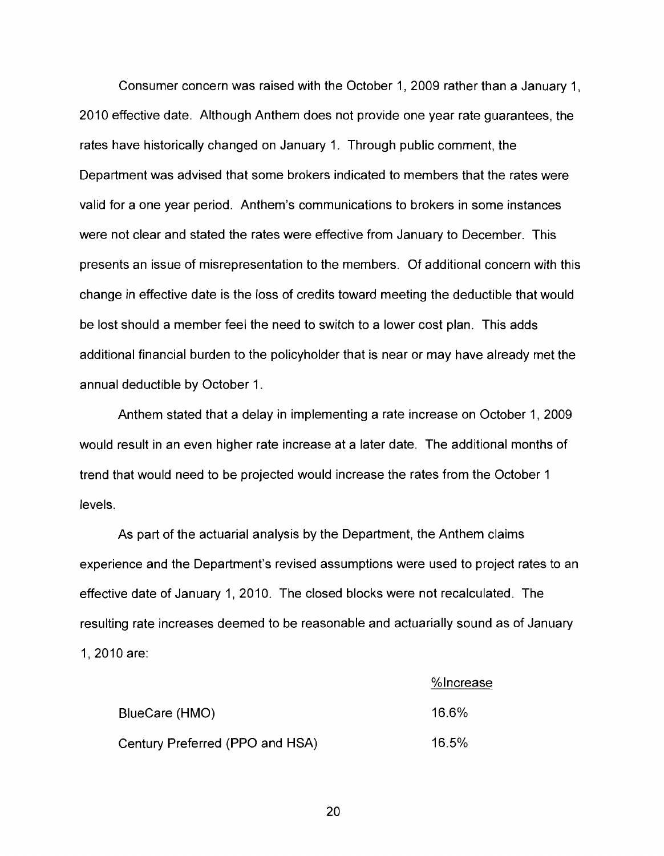Consumer concern was raised with the October 1,2009 rather than a January 1, 2010 effective date. Although Anthem does not provide one year rate guarantees, the rates have historically changed on January 1. Through public comment, the Department was advised that some brokers indicated to members that the rates were valid for a one year period. Anthem's communications to brokers in some instances were not clear and stated the rates were effective from January to December. This presents an issue of misrepresentation to the members. Of additional concern with this change in effective date is the loss of credits toward meeting the deductible that would be lost should a member feel the need to switch to a lower cost plan. This adds additional financial burden to the policyholder that is near or may have already met the annual deductible by October 1.

Anthem stated that a delay in implementing a rate increase on October 1, 2009 would result in an even higher rate increase at a later date. The additional months of trend that would need to be projected would increase the rates from the October 1 levels.

As part of the actuarial analysis by the Department, the Anthem claims experience and the Department's revised assumptions were used to project rates to an effective date of January 1, 2010. The closed blocks were not recalculated. The resulting rate increases deemed to be reasonable and actuarially sound as of January 1, 2010 are:

|                                 | %Increase |
|---------------------------------|-----------|
| BlueCare (HMO)                  | 16.6%     |
| Century Preferred (PPO and HSA) | 16.5%     |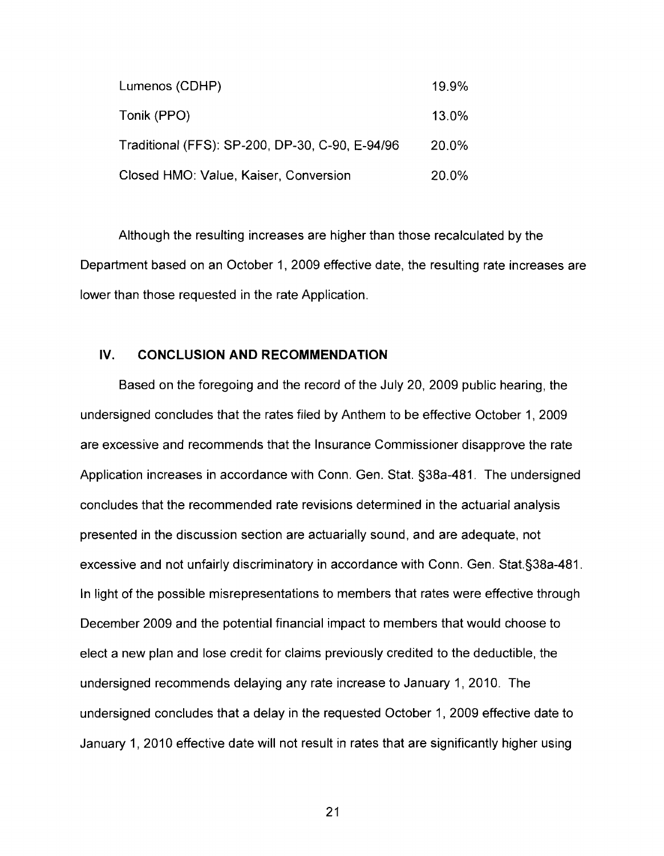| Lumenos (CDHP)                                  | 19.9% |
|-------------------------------------------------|-------|
| Tonik (PPO)                                     | 13.0% |
| Traditional (FFS): SP-200, DP-30, C-90, E-94/96 | 20.0% |
| Closed HMO: Value, Kaiser, Conversion           | 20.0% |

Although the resulting increases are higher than those recalculated by the Department based on an October 1, 2009 effective date, the resulting rate increases are lower than those requested in the rate Application.

#### **IV. CONCLUSION AND RECOMMENDATION**

Based on the foregoing and the record of the July 20, 2009 public hearing, the undersigned concludes that the rates filed by Anthem to be effective October 1, 2009 are excessive and recommends that the Insurance Commissioner disapprove the rate Application increases in accordance with Conn. Gen. Stat. §38a-481. The undersigned concludes that the recommended rate revisions determined in the actuarial analysis presented in the discussion section are actuarially sound, and are adequate, not excessive and not unfairly discriminatory in accordance with Conn. Gen. Stat.§38a-481. In light of the possible misrepresentations to members that rates were effective through December 2009 and the potential financial impact to members that would choose to elect a new plan and lose credit for claims previously credited to the deductible, the undersigned recommends delaying any rate increase to January 1, 2010. The undersigned concludes that a delay in the requested October 1, 2009 effective date to January 1, 2010 effective date will not result in rates that are significantly higher using